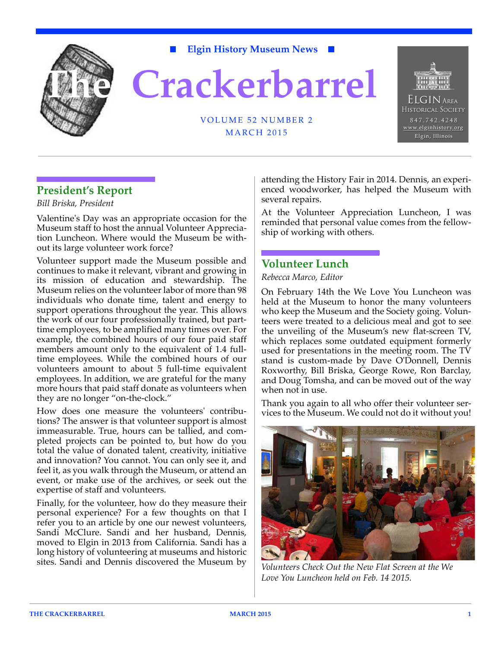

**The Crackerbarrel**

**Elgin History Museum News**



### VOLUME 52 NUMBER 2 MARCH 2015

## **President's Report**

*Bill Briska, President*

Valentine's Day was an appropriate occasion for the Museum staff to host the annual Volunteer Appreciation Luncheon. Where would the Museum be without its large volunteer work force?

Volunteer support made the Museum possible and continues to make it relevant, vibrant and growing in its mission of education and stewardship. The Museum relies on the volunteer labor of more than 98 individuals who donate time, talent and energy to support operations throughout the year. This allows the work of our four professionally trained, but parttime employees, to be amplified many times over. For example, the combined hours of our four paid staff members amount only to the equivalent of 1.4 fulltime employees. While the combined hours of our volunteers amount to about 5 full-time equivalent employees. In addition, we are grateful for the many more hours that paid staff donate as volunteers when they are no longer "on-the-clock."

How does one measure the volunteers' contributions? The answer is that volunteer support is almost immeasurable. True, hours can be tallied, and completed projects can be pointed to, but how do you total the value of donated talent, creativity, initiative and innovation? You cannot. You can only see it, and feel it, as you walk through the Museum, or attend an event, or make use of the archives, or seek out the expertise of staff and volunteers.

Finally, for the volunteer, how do they measure their personal experience? For a few thoughts on that I refer you to an article by one our newest volunteers, Sandi McClure. Sandi and her husband, Dennis, moved to Elgin in 2013 from California. Sandi has a long history of volunteering at museums and historic sites. Sandi and Dennis discovered the Museum by

attending the History Fair in 2014. Dennis, an experienced woodworker, has helped the Museum with several repairs.

At the Volunteer Appreciation Luncheon, I was reminded that personal value comes from the fellowship of working with others.

## **Volunteer Lunch**

*Rebecca Marco, Editor*

On February 14th the We Love You Luncheon was held at the Museum to honor the many volunteers who keep the Museum and the Society going. Volunteers were treated to a delicious meal and got to see the unveiling of the Museum's new flat-screen TV, which replaces some outdated equipment formerly used for presentations in the meeting room. The TV stand is custom-made by Dave O'Donnell, Dennis Roxworthy, Bill Briska, George Rowe, Ron Barclay, and Doug Tomsha, and can be moved out of the way when not in use.

Thank you again to all who offer their volunteer services to the Museum. We could not do it without you!



*Volunteers Check Out the New Flat Screen at the We Love You Luncheon held on Feb. 14 2015.*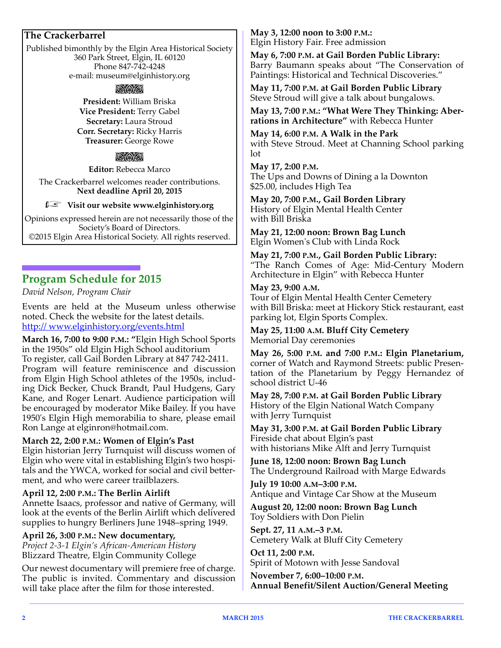### **The Crackerbarrel**

Published bimonthly by the Elgin Area Historical Society 360 Park Street, Elgin, IL 60120 Phone 847-742-4248 e-mail: museum@elginhistory.org

#### rac

**President:** William Briska **Vice President:** Terry Gabel **Secretary:** Laura Stroud **Corr. Secretary:** Ricky Harris **Treasurer:** George Rowe

#### aa

**Editor:** Rebecca Marco

The Crackerbarrel welcomes reader contributions. **Next deadline April 20, 2015**

#### *Filleria* Visit our website www.elginhistory.org

Opinions expressed herein are not necessarily those of the Society's Board of Directors. ©2015 Elgin Area Historical Society. All rights reserved.

## **Program Schedule for 2015**

*David Nelson, Program Chair*

Events are held at the Museum unless otherwise noted. Check the website for the latest details. http:// www.elginhistory.org/events.html

**March 16, 7:00 to 9:00 P.M.: "**Elgin High School Sports in the 1950s" old Elgin High School auditorium To register, call Gail Borden Library at 847 742-2411. Program will feature reminiscence and discussion from Elgin High School athletes of the 1950s, including Dick Becker, Chuck Brandt, Paul Hudgens, Gary Kane, and Roger Lenart. Audience participation will be encouraged by moderator Mike Bailey. If you have 1950's Elgin High memorabilia to share, please email Ron Lange at elginron@hotmail.com.

#### **March 22, 2:00 P.M.: Women of Elgin's Past**

Elgin historian Jerry Turnquist will discuss women of Elgin who were vital in establishing Elgin's two hospitals and the YWCA, worked for social and civil betterment, and who were career trailblazers.

#### **April 12, 2:00 P.M.: The Berlin Airlift**

Annette Isaacs, professor and native of Germany, will look at the events of the Berlin Airlift which delivered supplies to hungry Berliners June 1948–spring 1949.

#### **April 26, 3:00 P.M.: New documentary,**

*Project 2-3-1 Elgin's African-American History* Blizzard Theatre, Elgin Community College

Our newest documentary will premiere free of charge. The public is invited. Commentary and discussion will take place after the film for those interested.

#### **May 3, 12:00 noon to 3:00 P.M.:**  Elgin History Fair. Free admission

**May 6, 7:00 P.M. at Gail Borden Public Library:** Barry Baumann speaks about "The Conservation of Paintings: Historical and Technical Discoveries."

**May 11, 7:00 P.M. at Gail Borden Public Library**  Steve Stroud will give a talk about bungalows.

**May 13, 7:00 P.M.: "What Were They Thinking: Aberrations in Architecture"** with Rebecca Hunter

**May 14, 6:00 P.M. A Walk in the Park** with Steve Stroud. Meet at Channing School parking lot

**May 17, 2:00 P.M.**  The Ups and Downs of Dining a la Downton \$25.00, includes High Tea

**May 20, 7:00 P.M., Gail Borden Library** History of Elgin Mental Health Center with Bill Briska

**May 21, 12:00 noon: Brown Bag Lunch** Elgin Women's Club with Linda Rock

**May 21, 7:00 P.M., Gail Borden Public Library:**  "The Ranch Comes of Age: Mid-Century Modern Architecture in Elgin" with Rebecca Hunter

#### **May 23, 9:00 A.M.**

Tour of Elgin Mental Health Center Cemetery with Bill Briska: meet at Hickory Stick restaurant, east parking lot, Elgin Sports Complex.

**May 25, 11:00 A.M. Bluff City Cemetery** Memorial Day ceremonies

**May 26, 5:00 P.M. and 7:00 P.M.: Elgin Planetarium,** corner of Watch and Raymond Streets: public Presentation of the Planetarium by Peggy Hernandez of school district U-46

**May 28, 7:00 P.M. at Gail Borden Public Library** History of the Elgin National Watch Company with Jerry Turnquist

**May 31, 3:00 P.M. at Gail Borden Public Library** Fireside chat about Elgin's past with historians Mike Alft and Jerry Turnquist

**June 18, 12:00 noon: Brown Bag Lunch** The Underground Railroad with Marge Edwards

**July 19 10:00 A.M–3:00 P.M.** Antique and Vintage Car Show at the Museum

**August 20, 12:00 noon: Brown Bag Lunch** Toy Soldiers with Don Pielin

**Sept. 27, 11 A.M.–3 P.M.** Cemetery Walk at Bluff City Cemetery

**Oct 11, 2:00 P.M.** Spirit of Motown with Jesse Sandoval

**November 7, 6:00–10:00 P.M. Annual Benefit/Silent Auction/General Meeting**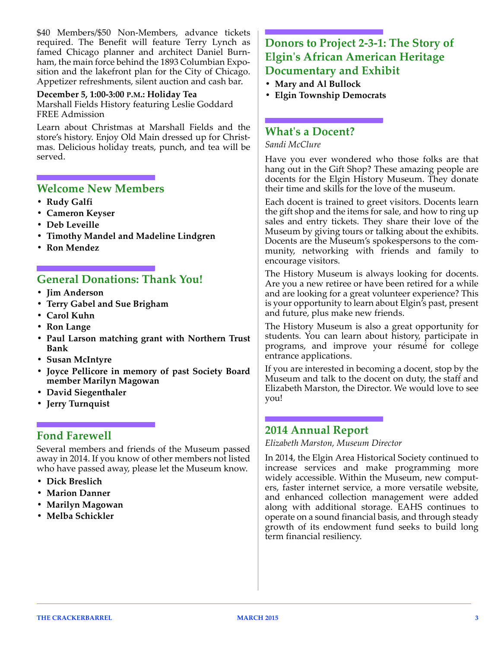\$40 Members/\$50 Non-Members, advance tickets required. The Benefit will feature Terry Lynch as famed Chicago planner and architect Daniel Burnham, the main force behind the 1893 Columbian Exposition and the lakefront plan for the City of Chicago. Appetizer refreshments, silent auction and cash bar.

## **December 5, 1:00-3:00 P.M.: Holiday Tea**

Marshall Fields History featuring Leslie Goddard FREE Admission

Learn about Christmas at Marshall Fields and the store's history. Enjoy Old Main dressed up for Christmas. Delicious holiday treats, punch, and tea will be served.

### **Welcome New Members**

- **Rudy Galfi**
- **Cameron Keyser**
- **Deb Leveille**
- **Timothy Mandel and Madeline Lindgren**
- **Ron Mendez**

## **General Donations: Thank You!**

- **Jim Anderson**
- **Terry Gabel and Sue Brigham**
- **Carol Kuhn**
- **Ron Lange**
- **Paul Larson matching grant with Northern Trust Bank**
- **Susan McIntyre**
- **Joyce Pellicore in memory of past Society Board member Marilyn Magowan**
- **David Siegenthaler**
- **Jerry Turnquist**

## **Fond Farewell**

Several members and friends of the Museum passed away in 2014. If you know of other members not listed who have passed away, please let the Museum know.

- **Dick Breslich**
- **Marion Danner**
- **Marilyn Magowan**
- **Melba Schickler**

# **Donors to Project 2-3-1: The Story of Elgin's African American Heritage Documentary and Exhibit**

- **Mary and Al Bullock**
- **Elgin Township Democrats**

## **What's a Docent?**

*Sandi McClure*

Have you ever wondered who those folks are that hang out in the Gift Shop? These amazing people are docents for the Elgin History Museum. They donate their time and skills for the love of the museum.

Each docent is trained to greet visitors. Docents learn the gift shop and the items for sale, and how to ring up sales and entry tickets. They share their love of the Museum by giving tours or talking about the exhibits. Docents are the Museum's spokespersons to the community, networking with friends and family to encourage visitors.

The History Museum is always looking for docents. Are you a new retiree or have been retired for a while and are looking for a great volunteer experience? This is your opportunity to learn about Elgin's past, present and future, plus make new friends.

The History Museum is also a great opportunity for students. You can learn about history, participate in programs, and improve your résumé for college entrance applications.

If you are interested in becoming a docent, stop by the Museum and talk to the docent on duty, the staff and Elizabeth Marston, the Director. We would love to see you!

## **2014 Annual Report**

*Elizabeth Marston, Museum Director*

In 2014, the Elgin Area Historical Society continued to increase services and make programming more widely accessible. Within the Museum, new computers, faster internet service, a more versatile website, and enhanced collection management were added along with additional storage. EAHS continues to operate on a sound financial basis, and through steady growth of its endowment fund seeks to build long term financial resiliency.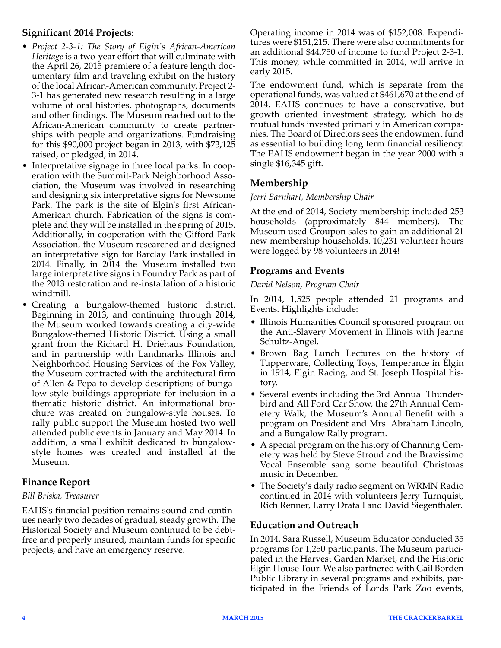## **Significant 2014 Projects:**

- *Project 2-3-1: The Story of Elgin's African-American Heritage* is a two-year effort that will culminate with the April 26, 2015 premiere of a feature length documentary film and traveling exhibit on the history of the local African-American community. Project 2- 3-1 has generated new research resulting in a large volume of oral histories, photographs, documents and other findings. The Museum reached out to the African-American community to create partnerships with people and organizations. Fundraising for this \$90,000 project began in 2013, with \$73,125 raised, or pledged, in 2014.
- Interpretative signage in three local parks. In cooperation with the Summit-Park Neighborhood Association, the Museum was involved in researching and designing six interpretative signs for Newsome Park. The park is the site of Elgin's first African-American church. Fabrication of the signs is complete and they will be installed in the spring of 2015. Additionally, in cooperation with the Gifford Park Association, the Museum researched and designed an interpretative sign for Barclay Park installed in 2014. Finally, in 2014 the Museum installed two large interpretative signs in Foundry Park as part of the 2013 restoration and re-installation of a historic windmill.
- Creating a bungalow-themed historic district. Beginning in 2013, and continuing through 2014, the Museum worked towards creating a city-wide Bungalow-themed Historic District. Using a small grant from the Richard H. Driehaus Foundation, and in partnership with Landmarks Illinois and Neighborhood Housing Services of the Fox Valley, the Museum contracted with the architectural firm of Allen & Pepa to develop descriptions of bungalow-style buildings appropriate for inclusion in a thematic historic district. An informational brochure was created on bungalow-style houses. To rally public support the Museum hosted two well attended public events in January and May 2014. In addition, a small exhibit dedicated to bungalowstyle homes was created and installed at the Museum.

## **Finance Report**

### *Bill Briska, Treasurer*

EAHS's financial position remains sound and continues nearly two decades of gradual, steady growth. The Historical Society and Museum continued to be debtfree and properly insured, maintain funds for specific projects, and have an emergency reserve.

Operating income in 2014 was of \$152,008. Expenditures were \$151,215. There were also commitments for an additional \$44,750 of income to fund Project 2-3-1. This money, while committed in 2014, will arrive in early 2015.

The endowment fund, which is separate from the operational funds, was valued at \$461,670 at the end of 2014. EAHS continues to have a conservative, but growth oriented investment strategy, which holds mutual funds invested primarily in American companies. The Board of Directors sees the endowment fund as essential to building long term financial resiliency. The EAHS endowment began in the year 2000 with a single \$16,345 gift.

## **Membership**

### *Jerri Barnhart, Membership Chair*

At the end of 2014, Society membership included 253 households (approximately 844 members). The Museum used Groupon sales to gain an additional 21 new membership households. 10,231 volunteer hours were logged by 98 volunteers in 2014!

## **Programs and Events**

### *David Nelson, Program Chair*

In 2014, 1,525 people attended 21 programs and Events. Highlights include:

- Illinois Humanities Council sponsored program on the Anti-Slavery Movement in Illinois with Jeanne Schultz-Angel.
- Brown Bag Lunch Lectures on the history of Tupperware, Collecting Toys, Temperance in Elgin in 1914, Elgin Racing, and St. Joseph Hospital history.
- Several events including the 3rd Annual Thunderbird and All Ford Car Show, the 27th Annual Cemetery Walk, the Museum's Annual Benefit with a program on President and Mrs. Abraham Lincoln, and a Bungalow Rally program.
- A special program on the history of Channing Cemetery was held by Steve Stroud and the Bravissimo Vocal Ensemble sang some beautiful Christmas music in December.
- The Society's daily radio segment on WRMN Radio continued in 2014 with volunteers Jerry Turnquist, Rich Renner, Larry Drafall and David Siegenthaler.

## **Education and Outreach**

In 2014, Sara Russell, Museum Educator conducted 35 programs for 1,250 participants. The Museum participated in the Harvest Garden Market, and the Historic Elgin House Tour. We also partnered with Gail Borden Public Library in several programs and exhibits, participated in the Friends of Lords Park Zoo events,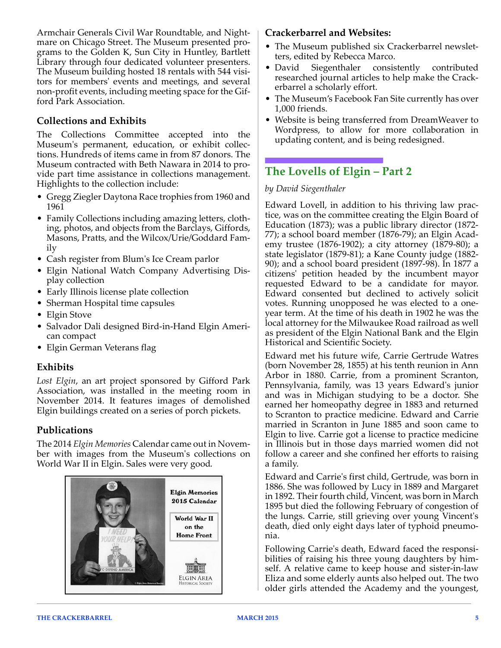Armchair Generals Civil War Roundtable, and Nightmare on Chicago Street. The Museum presented programs to the Golden K, Sun City in Huntley, Bartlett Library through four dedicated volunteer presenters. The Museum building hosted 18 rentals with 544 visitors for members' events and meetings, and several non-profit events, including meeting space for the Gifford Park Association.

## **Collections and Exhibits**

The Collections Committee accepted into the Museum's permanent, education, or exhibit collections. Hundreds of items came in from 87 donors. The Museum contracted with Beth Nawara in 2014 to provide part time assistance in collections management. Highlights to the collection include:

- Gregg Ziegler Daytona Race trophies from 1960 and 1961
- Family Collections including amazing letters, clothing, photos, and objects from the Barclays, Giffords, Masons, Pratts, and the Wilcox/Urie/Goddard Family
- Cash register from Blum's Ice Cream parlor
- Elgin National Watch Company Advertising Display collection
- Early Illinois license plate collection
- Sherman Hospital time capsules
- Elgin Stove
- Salvador Dali designed Bird-in-Hand Elgin American compact
- Elgin German Veterans flag

### **Exhibits**

*Lost Elgin*, an art project sponsored by Gifford Park Association, was installed in the meeting room in November 2014. It features images of demolished Elgin buildings created on a series of porch pickets.

## **Publications**

The 2014 *Elgin Memories* Calendar came out in November with images from the Museum's collections on World War II in Elgin. Sales were very good.



### **Crackerbarrel and Websites:**

- The Museum published six Crackerbarrel newsletters, edited by Rebecca Marco.
- David Siegenthaler consistently contributed researched journal articles to help make the Crackerbarrel a scholarly effort.
- The Museum's Facebook Fan Site currently has over 1,000 friends.
- Website is being transferred from DreamWeaver to Wordpress, to allow for more collaboration in updating content, and is being redesigned.

## **The Lovells of Elgin – Part 2**

#### *by David Siegenthaler*

Edward Lovell, in addition to his thriving law practice, was on the committee creating the Elgin Board of Education (1873); was a public library director (1872- 77); a school board member (1876-79); an Elgin Academy trustee (1876-1902); a city attorney (1879-80); a state legislator (1879-81); a Kane County judge (1882- 90); and a school board president (1897-98). In 1877 a citizens' petition headed by the incumbent mayor requested Edward to be a candidate for mayor. Edward consented but declined to actively solicit votes. Running unopposed he was elected to a oneyear term. At the time of his death in 1902 he was the local attorney for the Milwaukee Road railroad as well as president of the Elgin National Bank and the Elgin Historical and Scientific Society.

Edward met his future wife, Carrie Gertrude Watres (born November 28, 1855) at his tenth reunion in Ann Arbor in 1880. Carrie, from a prominent Scranton, Pennsylvania, family, was 13 years Edward's junior and was in Michigan studying to be a doctor. She earned her homeopathy degree in 1883 and returned to Scranton to practice medicine. Edward and Carrie married in Scranton in June 1885 and soon came to Elgin to live. Carrie got a license to practice medicine in Illinois but in those days married women did not follow a career and she confined her efforts to raising a family.

Edward and Carrie's first child, Gertrude, was born in 1886. She was followed by Lucy in 1889 and Margaret in 1892. Their fourth child, Vincent, was born in March 1895 but died the following February of congestion of the lungs. Carrie, still grieving over young Vincent's death, died only eight days later of typhoid pneumonia.

Following Carrie's death, Edward faced the responsibilities of raising his three young daughters by himself. A relative came to keep house and sister-in-law Eliza and some elderly aunts also helped out. The two older girls attended the Academy and the youngest,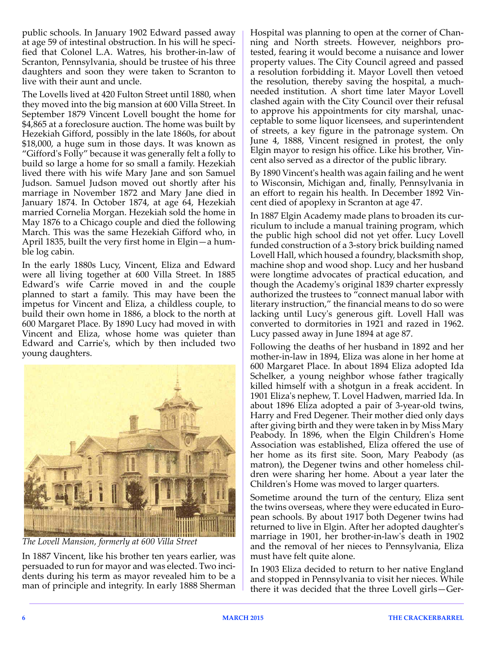public schools. In January 1902 Edward passed away at age 59 of intestinal obstruction. In his will he specified that Colonel L.A. Watres, his brother-in-law of Scranton, Pennsylvania, should be trustee of his three daughters and soon they were taken to Scranton to live with their aunt and uncle.

The Lovells lived at 420 Fulton Street until 1880, when they moved into the big mansion at 600 Villa Street. In September 1879 Vincent Lovell bought the home for \$4,865 at a foreclosure auction. The home was built by Hezekiah Gifford, possibly in the late 1860s, for about \$18,000, a huge sum in those days. It was known as "Gifford's Folly" because it was generally felt a folly to build so large a home for so small a family. Hezekiah lived there with his wife Mary Jane and son Samuel Judson. Samuel Judson moved out shortly after his marriage in November 1872 and Mary Jane died in January 1874. In October 1874, at age 64, Hezekiah married Cornelia Morgan. Hezekiah sold the home in May 1876 to a Chicago couple and died the following March. This was the same Hezekiah Gifford who, in April 1835, built the very first home in Elgin—a humble log cabin.

In the early 1880s Lucy, Vincent, Eliza and Edward were all living together at 600 Villa Street. In 1885 Edward's wife Carrie moved in and the couple planned to start a family. This may have been the impetus for Vincent and Eliza, a childless couple, to build their own home in 1886, a block to the north at 600 Margaret Place. By 1890 Lucy had moved in with Vincent and Eliza, whose home was quieter than Edward and Carrie's, which by then included two young daughters.



*The Lovell Mansion, formerly at 600 Villa Street* 

In 1887 Vincent, like his brother ten years earlier, was persuaded to run for mayor and was elected. Two incidents during his term as mayor revealed him to be a man of principle and integrity. In early 1888 Sherman Hospital was planning to open at the corner of Channing and North streets. However, neighbors protested, fearing it would become a nuisance and lower property values. The City Council agreed and passed a resolution forbidding it. Mayor Lovell then vetoed the resolution, thereby saving the hospital, a muchneeded institution. A short time later Mayor Lovell clashed again with the City Council over their refusal to approve his appointments for city marshal, unacceptable to some liquor licensees, and superintendent of streets, a key figure in the patronage system. On June 4, 1888, Vincent resigned in protest, the only Elgin mayor to resign his office. Like his brother, Vincent also served as a director of the public library.

By 1890 Vincent's health was again failing and he went to Wisconsin, Michigan and, finally, Pennsylvania in an effort to regain his health. In December 1892 Vincent died of apoplexy in Scranton at age 47.

In 1887 Elgin Academy made plans to broaden its curriculum to include a manual training program, which the public high school did not yet offer. Lucy Lovell funded construction of a 3-story brick building named Lovell Hall, which housed a foundry, blacksmith shop, machine shop and wood shop. Lucy and her husband were longtime advocates of practical education, and though the Academy's original 1839 charter expressly authorized the trustees to "connect manual labor with literary instruction," the financial means to do so were lacking until Lucy's generous gift. Lovell Hall was converted to dormitories in 1921 and razed in 1962. Lucy passed away in June 1894 at age 87.

Following the deaths of her husband in 1892 and her mother-in-law in 1894, Eliza was alone in her home at 600 Margaret Place. In about 1894 Eliza adopted Ida Schelker, a young neighbor whose father tragically killed himself with a shotgun in a freak accident. In 1901 Eliza's nephew, T. Lovel Hadwen, married Ida. In about 1896 Eliza adopted a pair of 3-year-old twins, Harry and Fred Degener. Their mother died only days after giving birth and they were taken in by Miss Mary Peabody. In 1896, when the Elgin Children's Home Association was established, Eliza offered the use of her home as its first site. Soon, Mary Peabody (as matron), the Degener twins and other homeless children were sharing her home. About a year later the Children's Home was moved to larger quarters.

Sometime around the turn of the century, Eliza sent the twins overseas, where they were educated in European schools. By about 1917 both Degener twins had returned to live in Elgin. After her adopted daughter's marriage in 1901, her brother-in-law's death in 1902 and the removal of her nieces to Pennsylvania, Eliza must have felt quite alone.

In 1903 Eliza decided to return to her native England and stopped in Pennsylvania to visit her nieces. While there it was decided that the three Lovell girls—Ger-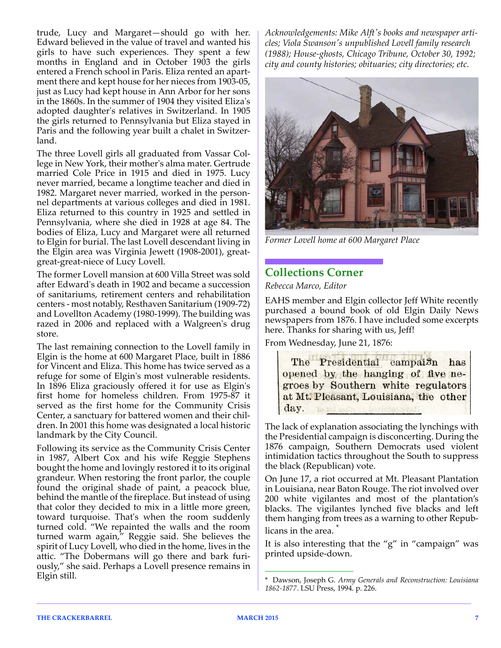trude, Lucy and Margaret—should go with her. Edward believed in the value of travel and wanted his girls to have such experiences. They spent a few months in England and in October 1903 the girls entered a French school in Paris. Eliza rented an apartment there and kept house for her nieces from 1903-05, just as Lucy had kept house in Ann Arbor for her sons in the 1860s. In the summer of 1904 they visited Eliza's adopted daughter's relatives in Switzerland. In 1905 the girls returned to Pennsylvania but Eliza stayed in Paris and the following year built a chalet in Switzerland.

The three Lovell girls all graduated from Vassar College in New York, their mother's alma mater. Gertrude married Cole Price in 1915 and died in 1975. Lucy never married, became a longtime teacher and died in 1982. Margaret never married, worked in the personnel departments at various colleges and died in 1981. Eliza returned to this country in 1925 and settled in Pennsylvania, where she died in 1928 at age 84. The bodies of Eliza, Lucy and Margaret were all returned to Elgin for burial. The last Lovell descendant living in the Elgin area was Virginia Jewett (1908-2001), greatgreat-great-niece of Lucy Lovell.

The former Lovell mansion at 600 Villa Street was sold after Edward's death in 1902 and became a succession of sanitariums, retirement centers and rehabilitation centers - most notably, Resthaven Sanitarium (1909-72) and Lovellton Academy (1980-1999). The building was razed in 2006 and replaced with a Walgreen's drug store.

The last remaining connection to the Lovell family in Elgin is the home at 600 Margaret Place, built in 1886 for Vincent and Eliza. This home has twice served as a refuge for some of Elgin's most vulnerable residents. In 1896 Eliza graciously offered it for use as Elgin's first home for homeless children. From 1975-87 it served as the first home for the Community Crisis Center, a sanctuary for battered women and their children. In 2001 this home was designated a local historic landmark by the City Council.

Following its service as the Community Crisis Center in 1987, Albert Cox and his wife Reggie Stephens bought the home and lovingly restored it to its original grandeur. When restoring the front parlor, the couple found the original shade of paint, a peacock blue, behind the mantle of the fireplace. But instead of using that color they decided to mix in a little more green, toward turquoise. That's when the room suddenly turned cold. "We repainted the walls and the room turned warm again," Reggie said. She believes the spirit of Lucy Lovell, who died in the home, lives in the attic. "The Dobermans will go there and bark furiously," she said. Perhaps a Lovell presence remains in Elgin still.

*Acknowledgements: Mike Alft's books and newspaper articles; Viola Swanson's unpublished Lovell family research (1988); House-ghosts, Chicago Tribune, October 30, 1992; city and county histories; obituaries; city directories; etc.*



*Former Lovell home at 600 Margaret Place*

## **Collections Corner**

*Rebecca Marco, Editor*

EAHS member and Elgin collector Jeff White recently purchased a bound book of old Elgin Daily News newspapers from 1876. I have included some excerpts here. Thanks for sharing with us, Jeff!

From Wednesday, June 21, 1876:

The Presidential campai<sub>3</sub>n has opened by the hanging of five negroes by Southern white regulators at Mt. Pleasant, Louisiana, the other day.

The lack of explanation associating the lynchings with the Presidential campaign is disconcerting. During the 1876 campaign, Southern Democrats used violent intimidation tactics throughout the South to suppress the black (Republican) vote.

On June 17, a riot occurred at Mt. Pleasant Plantation in Louisiana, near Baton Rouge. The riot involved over 200 white vigilantes and most of the plantation's blacks. The vigilantes lynched five blacks and left them hanging from trees as a warning to other Republicans in the area.

It is also interesting that the "g" in "campaign" was printed upside-down.

<sup>\*</sup> Dawson, Joseph G. *Army Generals and Reconstruction: Louisiana 1862-1877*. LSU Press, 1994. p. 226.